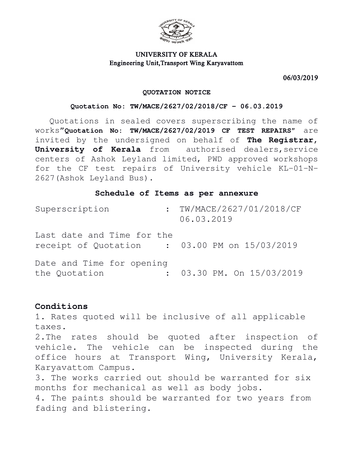

# UNIVERSITY OF KERALA Engineering Unit,Transport Wing Karyavattom

06/03/2019

#### **QUOTATION NOTICE**

### **Quotation No: TW/MACE/2627/02/2018/CF – 06.03.2019**

Quotations in sealed covers superscribing the name of works"**Quotation No: TW/MACE/2627/02/2019 CF TEST REPAIRS"** are invited by the undersigned on behalf of **The Registrar, University of Kerala** from authorised dealers, service centers of Ashok Leyland limited, PWD approved workshops for the CF test repairs of University vehicle KL-01-N-2627(Ashok Leyland Bus).

### **Schedule of Items as per annexure**

| Superscription                                                              | : TW/MACE/2627/01/2018/CF<br>06.03.2019 |
|-----------------------------------------------------------------------------|-----------------------------------------|
| Last date and Time for the<br>receipt of Quotation : 03.00 PM on 15/03/2019 |                                         |
| Date and Time for opening<br>the Quotation                                  | $: 03.30$ PM. On $15/03/2019$           |

# **Conditions**

1. Rates quoted will be inclusive of all applicable taxes. 2.The rates should be quoted after inspection of vehicle. The vehicle can be inspected during the office hours at Transport Wing, University Kerala, Karyavattom Campus. 3. The works carried out should be warranted for six months for mechanical as well as body jobs. 4. The paints should be warranted for two years from fading and blistering.